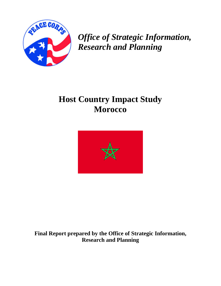

*Office of Strategic Information, Research and Planning* 

# **Host Country Impact Study Morocco**



**Final Report prepared by the Office of Strategic Information, Research and Planning**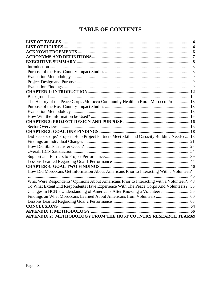## **TABLE OF CONTENTS**

| The History of the Peace Corps / Morocco Community Health in Rural Morocco Project 13      |  |
|--------------------------------------------------------------------------------------------|--|
|                                                                                            |  |
|                                                                                            |  |
|                                                                                            |  |
|                                                                                            |  |
|                                                                                            |  |
|                                                                                            |  |
| Did Peace Corps' Projects Help Project Partners Meet Skill and Capacity Building Needs? 18 |  |
|                                                                                            |  |
|                                                                                            |  |
|                                                                                            |  |
|                                                                                            |  |
|                                                                                            |  |
|                                                                                            |  |
| How Did Moroccans Get Information About Americans Prior to Interacting With a Volunteer?   |  |
|                                                                                            |  |
| What Were Respondents' Opinions About Americans Prior to Interacting with a Volunteer? 48  |  |
| To What Extent Did Respondents Have Experience With The Peace Corps And Volunteers?. 53    |  |
|                                                                                            |  |
| Findings on What Moroccans Learned About Americans from Volunteers 60                      |  |
|                                                                                            |  |
|                                                                                            |  |
|                                                                                            |  |
| APPENDIX 2: METHODOLOGY FROM THE HOST COUNTRY RESEARCH TEAM69                              |  |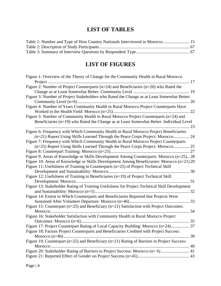## **LIST OF TABLES**

<span id="page-3-0"></span>

| Table 1: Number and Type of Host Country Nationals Interviewed in Morocco  15 |  |
|-------------------------------------------------------------------------------|--|
|                                                                               |  |
|                                                                               |  |

## **LIST OF FIGURES**

| Figure 1: Overview of the Theory of Change for the Community Health in Rural Morocco           |
|------------------------------------------------------------------------------------------------|
| Project<br>17                                                                                  |
| Figure 2: Number of Project Counterparts ( $n=24$ ) and Beneficiaries ( $n=20$ ) who Rated the |
|                                                                                                |
| Figure 3: Number of Project Stakeholders who Rated the Change as at Least Somewhat Better:     |
|                                                                                                |
| Figure 4: Number of Years Community Health in Rural Morocco Project Counterparts Have          |
|                                                                                                |
| Figure 5: Number of Community Health in Rural Morocco Project Counterparts (n=24) and          |
| Beneficiaries (n=19) who Rated the Change as at Least Somewhat Better: Individual Level        |
| Figure 6: Frequency with Which Community Health in Rural Morocco Project Beneficiaries         |
| (n=21) Report Using Skills Learned Through the Peace Corps Project: Morocco 24                 |
| Figure 7: Frequency with Which Community Health in Rural Morocco Project Counterparts          |
| (n=25) Report Using Skills Learned Through the Peace Corps Project: Morocco 25                 |
| .27                                                                                            |
| Figure 9: Areas of Knowledge or Skills Development Among Counterparts: Morocco (n=25) 28       |
| Figure 10: Areas of Knowledge or Skills Development Among Beneficiaries: Morocco (n=21) 29     |
| Figure 11: Usefulness of Training to Counterparts (n=25) of Project Technical Skill            |
| 30                                                                                             |
| Figure 12: Usefulness of Training to Beneficiaries (n=19) of Project Technical Skill           |
| 31                                                                                             |
| Figure 13: Stakeholder Rating of Training Usefulness for Project Technical Skill Development   |
|                                                                                                |
| Figure 14: Extent to Which Counterparts and Beneficiaries Reported that Projects Were          |
|                                                                                                |
| Figure 15: Counterpart (n=25) and Beneficiary (n=21) Satisfaction with Project Outcomes:       |
| 34                                                                                             |
| Figure 16: Stakeholder Satisfaction with Community Health in Rural Morocco Project             |
|                                                                                                |
| Figure 17: Project Counterpart Rating of Local Capacity Building: Morocco (n=24) 37            |
| Figure 18: Factors Project Counterparts and Beneficiaries Credited with Project Success:       |
| 39                                                                                             |
| Figure 19: Counterpart (n=25) and Beneficiary (n=21) Rating of Barriers to Project Success:    |
|                                                                                                |
| Figure 20: Stakeholder Rating of Barriers to Project Success: Morocco (n= 6)  41               |
|                                                                                                |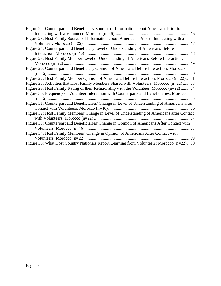| Figure 22: Counterpart and Beneficiary Sources of Information about Americans Prior to      |
|---------------------------------------------------------------------------------------------|
|                                                                                             |
| Figure 23: Host Family Sources of Information about Americans Prior to Interacting with a   |
|                                                                                             |
| Figure 24: Counterpart and Beneficiary Level of Understanding of Americans Before           |
|                                                                                             |
| Figure 25: Host Family Member Level of Understanding of Americans Before Interaction:       |
|                                                                                             |
| Figure 26: Counterpart and Beneficiary Opinion of Americans Before Interaction: Morocco     |
|                                                                                             |
| Figure 27: Host Family Member Opinion of Americans Before Interaction: Morocco (n=22) 51    |
| Figure 28: Activities that Host Family Members Shared with Volunteers: Morocco (n=22)  53   |
| Figure 29: Host Family Rating of their Relationship with the Volunteer: Morocco (n=22) 54   |
| Figure 30: Frequency of Volunteer Interaction with Counterparts and Beneficiaries: Morocco  |
|                                                                                             |
|                                                                                             |
|                                                                                             |
| Figure 32: Host Family Members' Change in Level of Understanding of Americans after Contact |
|                                                                                             |
| Figure 33: Counterpart and Beneficiaries' Change in Opinion of Americans After Contact with |
|                                                                                             |
| Figure 34: Host Family Members' Change in Opinion of Americans After Contact with           |
|                                                                                             |
| Figure 35: What Host Country Nationals Report Learning from Volunteers: Morocco (n=22)60    |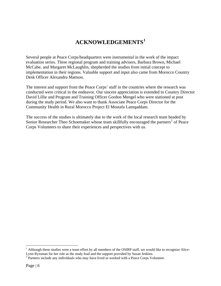## **ACKNOWLEDGEMENTS[1](#page-5-1)**

<span id="page-5-0"></span>Several people at Peace Corps/headquarters were instrumental in the work of the impact evaluation series. Three regional program and training advisers, Barbara Brown, Michael McCabe, and Margaret McLaughlin, shepherded the studies from initial concept to implementation in their regions. Valuable support and input also came from Morocco Country Desk Officer Alexandra Mattson.

The interest and support from the Peace Corps' staff in the countries where the research was conducted were critical in the endeavor. Our sincere appreciation is extended to Country Director David Lillie and Program and Training Officer Gordon Mengel who were stationed at post during the study period. We also want to thank Associate Peace Corps Director for the Community Health in Rural Morocco Project El Mostafa Lamqaddam.

The success of the studies is ultimately due to the work of the local research team headed by Senior Researcher Theo Schoemaker whose team skillfully encouraged the partners<sup>[2](#page-5-2)</sup> of Peace Corps Volunteers to share their experiences and perspectives with us.

 $\overline{a}$ 

<span id="page-5-1"></span> $1$  Although these studies were a team effort by all members of the OSIRP staff, we would like to recognize Alice-Lynn Ryssman for her role as the study lead and the support provided by Susan Jenkins.

<span id="page-5-2"></span><sup>&</sup>lt;sup>2</sup> Partners include any individuals who may have lived or worked with a Peace Corps Volunteer.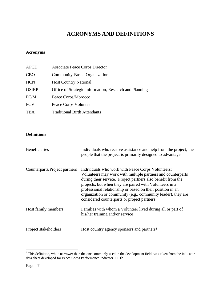## **ACRONYMS AND DEFINITIONS**

### <span id="page-6-0"></span>**Acronyms**

| <b>APCD</b>  | <b>Associate Peace Corps Director</b>                  |
|--------------|--------------------------------------------------------|
| <b>CBO</b>   | Community-Based Organization                           |
| <b>HCN</b>   | <b>Host Country National</b>                           |
| <b>OSIRP</b> | Office of Strategic Information, Research and Planning |
| PC/M         | Peace Corps/Morocco                                    |
| <b>PCV</b>   | Peace Corps Volunteer                                  |
| TBA          | <b>Traditional Birth Attendants</b>                    |

#### **Definitions**

| <b>Beneficiaries</b>          | Individuals who receive assistance and help from the project; the<br>people that the project is primarily designed to advantage                                                                                                                                                                                                                                                                                          |
|-------------------------------|--------------------------------------------------------------------------------------------------------------------------------------------------------------------------------------------------------------------------------------------------------------------------------------------------------------------------------------------------------------------------------------------------------------------------|
| Counterparts/Project partners | Individuals who work with Peace Corps Volunteers;<br>Volunteers may work with multiple partners and counterparts<br>during their service. Project partners also benefit from the<br>projects, but when they are paired with Volunteers in a<br>professional relationship or based on their position in an<br>organization or community (e.g., community leader), they are<br>considered counterparts or project partners |
| Host family members           | Families with whom a Volunteer lived during all or part of<br>his/her training and/or service                                                                                                                                                                                                                                                                                                                            |
| Project stakeholders          | Host country agency sponsors and partners <sup>3</sup>                                                                                                                                                                                                                                                                                                                                                                   |

<span id="page-6-1"></span><sup>&</sup>lt;sup>3</sup> This definition, while narrower than the one commonly used in the development field, was taken from the indicator data sheet developed for Peace Corps Performance Indicator 1.1.1b.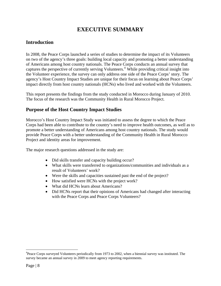## **EXECUTIVE SUMMARY**

## <span id="page-7-0"></span>**Introduction**

In 2008, the Peace Corps launched a series of studies to determine the impact of its Volunteers on two of the agency's three goals: building local capacity and promoting a better understanding of Americans among host country nationals. The Peace Corps conducts an annual survey that captures the perspective of currently serving Volunteers.<sup>[4](#page-7-1)</sup> While providing critical insight into the Volunteer experience, the survey can only address one side of the Peace Corps' story. The agency's Host Country Impact Studies are unique for their focus on learning about Peace Corps' impact directly from host country nationals (HCNs) who lived and worked with the Volunteers.

This report presents the findings from the study conducted in Morocco during January of 2010. The focus of the research was the Community Health in Rural Morocco Project*.* 

## **Purpose of the Host Country Impact Studies**

Morocco's Host Country Impact Study was initiated to assess the degree to which the Peace Corps had been able to contribute to the country's need to improve health outcomes, as well as to promote a better understanding of Americans among host country nationals. The study would provide Peace Corps with a better understanding of the Community Health in Rural Morocco Project and identity areas for improvement.

The major research questions addressed in the study are:

- Did skills transfer and capacity building occur?
- What skills were transferred to organizations/communities and individuals as a result of Volunteers' work?
- Were the skills and capacities sustained past the end of the project?
- How satisfied were HCNs with the project work?
- What did HCNs learn about Americans?
- Did HCNs report that their opinions of Americans had changed after interacting with the Peace Corps and Peace Corps Volunteers?

1

<span id="page-7-1"></span><sup>&</sup>lt;sup>4</sup>Peace Corps surveyed Volunteers periodically from 1973 to 2002, when a biennial survey was instituted. The survey became an annual survey in 2009 to meet agency reporting requirements.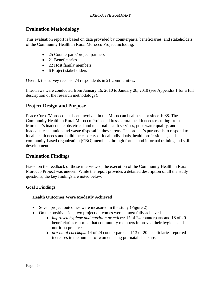### <span id="page-8-0"></span>**Evaluation Methodology**

This evaluation report is based on data provided by counterparts, beneficiaries, and stakeholders of the Community Health in Rural Morocco Project including:

- 25 Counterparts/project partners
- 21 Beneficiaries
- 22 Host family members
- 6 Project stakeholders

Overall, the survey reached 74 respondents in 21 communities.

Interviews were conducted from January 16, 2010 to January 28, 2010 (see Appendix 1 for a full description of the research methodology).

## **Project Design and Purpose**

Peace Corps/Morocco has been involved in the Moroccan health sector since 1988. The Community Health in Rural Morocco Project addresses rural health needs resulting from Morocco's inadequate obstetrical and maternal health services, poor water quality, and inadequate sanitation and waste disposal in these areas. The project's purpose is to respond to local health needs and build the capacity of local individuals, health professionals, and community-based organization (CBO) members through formal and informal training and skill development.

### **Evaluation Findings**

Based on the feedback of those interviewed, the execution of the Community Health in Rural Morocco Project was uneven. While the report provides a detailed description of all the study questions, the key findings are noted below:

#### **Goal 1 Findings**

#### **Health Outcomes Were Modestly Achieved**

- Seven project outcomes were measured in the study (Figure 2)
- On the positive side, two project outcomes were almost fully achieved.
	- o *improved hygiene and nutrition practices:* 17 of 24 counterparts and 18 of 20 beneficiaries reported that community members improved their hygiene and nutrition practices
	- o *pre-natal checkups:* 14 of 24 counterparts and 13 of 20 beneficiaries reported increases in the number of women using pre-natal checkups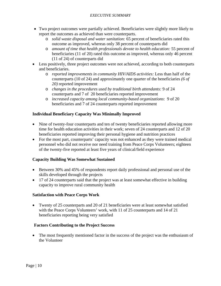- Two project outcomes were partially achieved. Beneficiaries were slightly more likely to report the outcomes as achieved than were counterparts.
	- o *solid waste disposal and water sanitation:* 65 percent of beneficiaries rated this outcome as improved, whereas only 38 percent of counterparts did
	- o *amount of time that health professionals devote to health education:* 55 percent of beneficiaries (11 of 20) rated this outcome as improved, whereas only 46 percent (11 of 24) of counterparts did
- Less positively, three project outcomes were not achieved, according to both counterparts and beneficiaries.
	- o *reported improvements in community HIV/AIDS activities:* Less than half of the counterparts (10 of 24) and approximately one quarter of the beneficiaries *(6 of 20)* reported improvement
	- o *changes in the procedures used by traditional birth attendants:* 9 of 24 counterparts and 7 of 20 beneficiaries reported improvement
	- o *increased capacity among local community-based organizations*: 9 of 20 beneficiaries and 7 of 24 counterparts reported improvement

#### **Individual Beneficiary Capacity Was Minimally Improved**

- Nine of twenty-four counterparts and ten of twenty beneficiaries reported allowing more time for health education activities in their work; seven of 24 counterparts and 12 of 20 beneficiaries reported improving their personal hygiene and nutrition practices
- For the most part, counterparts' capacity was not enhanced as they were trained medical personnel who did not receive nor need training from Peace Corps Volunteers; eighteen of the twenty-five reported at least five years of clinical/field experience

#### **Capacity Building Was Somewhat Sustained**

- Between 30% and 45% of respondents report daily professional and personal use of the skills developed through the projects
- 17 of 24 counterparts said that the project was at least somewhat effective in building capacity to improve rural community health

#### **Satisfaction with Peace Corps Work**

• Twenty of 25 counterparts and 20 of 21 beneficiaries were at least somewhat satisfied with the Peace Corps Volunteers' work, with 11 of 25 counterparts and 14 of 21 beneficiaries reporting being very satisfied

#### **Factors Contributing to the Project Success**

• The most frequently mentioned factor in the success of the project was the enthusiasm of the Volunteer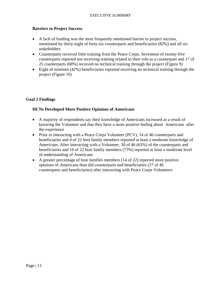#### **Barriers to Project Success**

- A lack of funding was the most frequently mentioned barrier to project success, mentioned by thirty-eight of forty-six counterparts and beneficiaries (82%) and all six stakeholders
- Counterparts received little training from the Peace Corps. Seventeen of twenty-five counterparts reported not receiving training related to their role as a counterpart and 17 of 25 counterparts (68%) received no technical training through the project (Figure 9)
- Eight of nineteen (42%) beneficiaries reported receiving no technical training through the project (Figure 10)

#### **Goal 2 Findings**

#### **HCNs Developed More Positive Opinions of Americans**

- A majority of respondents say their knowledge of Americans increased as a result of knowing the Volunteer and that they have a more positive feeling about Americans after the experience
- Prior to interacting with a Peace Corps Volunteer (PCV), 14 of 46 counterparts and beneficiaries and 4 of 22 host family members reported at least a moderate knowledge of Americans. After interacting with a Volunteer, 30 of 46 (65%) of the counterparts and beneficiaries and 16 of 22 host family members (73%) reported at least a moderate level of understanding of Americans
- A greater percentage of host families members (14 of 22) reported more positive opinions of Americans than did counterparts and beneficiaries (27 of 46 counterparts and beneficiaries) after interacting with Peace Corps Volunteers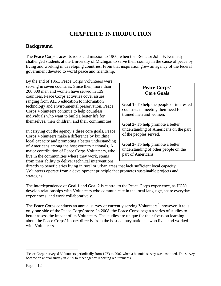## **CHAPTER 1: INTRODUCTION**

## <span id="page-11-0"></span>**Background**

The Peace Corps traces its roots and mission to 1960, when then-Senator John F. Kennedy challenged students at the University of Michigan to serve their country in the cause of peace by living and working in developing countries. From that inspiration grew an agency of the federal government devoted to world peace and friendship.

By the end of 1961, Peace Corps Volunteers were serving in seven countries. Since then, more than 200,000 men and women have served in 139 countries. Peace Corps activities cover issues ranging from AIDS education to information technology and environmental preservation. Peace Corps Volunteers continue to help countless individuals who want to build a better life for themselves, their children, and their communities.

In carrying out the agency's three core goals, Peace Corps Volunteers make a difference by building local capacity and promoting a better understanding of Americans among the host country nationals. A major contribution of Peace Corps Volunteers, who live in the communities where they work, stems from their ability to deliver technical interventions

## **Peace Corps' Core Goals**

**Goal 1**- To help the people of interested countries in meeting their need for trained men and women.

**Goal 2**- To help promote a better understanding of Americans on the part of the peoples served.

**Goal 3**- To help promote a better understanding of other people on the part of Americans.

directly to beneficiaries living in rural or urban areas that lack sufficient local capacity. Volunteers operate from a development principle that promotes sustainable projects and strategies.

The interdependence of Goal 1 and Goal 2 is central to the Peace Corps experience, as HCNs develop relationships with Volunteers who communicate in the local language, share everyday experiences, and work collaboratively.

The Peace Corps conducts an annual survey of currently serving Volunteers<sup>[5](#page-11-1)</sup>; however, it tells only one side of the Peace Corps' story. In 2008, the Peace Corps began a series of studies to better assess the impact of its Volunteers. The studies are unique for their focus on learning about the Peace Corps' impact directly from the host country nationals who lived and worked with Volunteers.

 $\overline{a}$ 

<span id="page-11-1"></span><sup>&</sup>lt;sup>5</sup>Peace Corps surveyed Volunteers periodically from 1973 to 2002 when a biennial survey was instituted. The survey became an annual survey in 2009 to meet agency reporting requirements.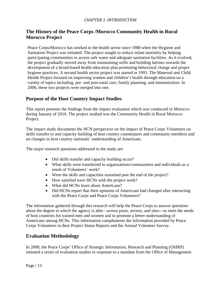## <span id="page-12-0"></span>**The History of the Peace Corps /Morocco Community Health in Rural Morocco Project**

Peace Corps/Morocco has worked in the health sector since 1988 when the Hygiene and Sanitation Project was initiated. The project sought to reduce infant mortality by helping participating communities to access safe water and adequate sanitation facilities. As it evolved, the project gradually moved away from maintaining wells and building latrines towards the development of a broad-based health education plan promoting behavioral change and proper hygiene practices. A second health sector project was started in 1993. The Maternal and Child Health Project focused on improving women and children's health through education on a variety of topics including, pre- and post-natal care, family planning, and immunization. In 2006, these two projects were merged into one.

## **Purpose of the Host Country Impact Studies**

This report presents the findings from the impact evaluation which was conducted in Morocco during January of 2010. The project studied was the Community Health in Rural Morocco Project.

The impact study documents the HCN perspective on the impact of Peace Corps Volunteers on skills transfer to and capacity building of host country counterparts and community members and on changes in host country nationals' understanding of Americans.

The major research questions addressed in the study are:

- Did skills transfer and capacity building occur?
- What skills were transferred to organizations/communities and individuals as a result of Volunteers' work?
- Were the skills and capacities sustained past the end of the project?
- How satisfied were HCNs with the project work?
- What did HCNs learn about Americans?
- Did HCNs report that their opinions of Americans had changed after interacting with the Peace Corps and Peace Corps Volunteers?

The information gathered through this research will help the Peace Corps to answer questions about the degree to which the agency is able—across posts, sectors, and sites—to meet the needs of host countries for trained men and women and to promote a better understanding of Americans among HCNs. This information complements the information provided by Peace Corps Volunteers in their Project Status Reports and the Annual Volunteer Survey.

## **Evaluation Methodology**

In 2008, the Peace Corps' Office of Strategic Information, Research and Planning (OSIRP) initiated a series of evaluation studies in response to a mandate from the Office of Management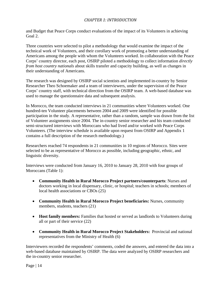### *CHAPTER 1: INTRODUCTION*

and Budget that Peace Corps conduct evaluations of the impact of its Volunteers in achieving Goal 2.

Three countries were selected to pilot a methodology that would examine the impact of the technical work of Volunteers, and their corollary work of promoting a better understanding of Americans among the people with whom the Volunteers worked. In collaboration with the Peace Corps' country director, each post, OSIRP piloted a methodology to collect information *directly from host country nationals* about skills transfer and capacity building, as well as changes in their understanding of Americans.

The research was designed by OSIRP social scientists and implemented in-country by Senior Researcher Theo Schoemaker and a team of interviewers, under the supervision of the Peace Corps' country staff, with technical direction from the OSIRP team. A web-based database was used to manage the questionnaire data and subsequent analysis.

In Morocco, the team conducted interviews in 21 communities where Volunteers worked. One hundred-ten Volunteer placements between 2004 and 2009 were identified for possible participation in the study. A representative, rather than a random, sample was drawn from the list of Volunteer assignments since 2004. The in-country senior researcher and his team conducted semi-structured interviews with Moroccans who had lived and/or worked with Peace Corps Volunteers. (The interview schedule is available upon request from OSIRP and Appendix 1 contains a full description of the research methodology.)

Researchers reached 74 respondents in 21 communities in 10 regions of Morocco. Sites were selected to be as representative of Morocco as possible, including geographic, ethnic, and linguistic diversity.

Interviews were conducted from January 16, 2010 to January 28, 2010 with four groups of Moroccans (Table 1):

- **Community Health in Rural Morocco Project partners/counterparts**: Nurses and doctors working in local dispensary, clinic, or hospital; teachers in schools; members of local health associations or CBOs (25)
- **Community Health in Rural Morocco Project beneficiaries:** Nurses, community members, students, teachers (21)
- **Host family members:** Families that hosted or served as landlords to Volunteers during all or part of their service (22)
- **Community Health in Rural Morocco Project Stakeholders:** Provincial and national representatives from the Ministry of Health (6)

Interviewers recorded the respondents' comments, coded the answers, and entered the data into a web-based database maintained by OSIRP. The data were analyzed by OSIRP researchers and the in-country senior researcher.

Page  $| 14$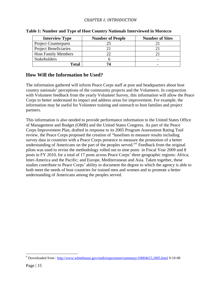### *CHAPTER 1: INTRODUCTION*

| <b>Interview Type</b>        | <b>Number of People</b> | <b>Number of Sites</b> |
|------------------------------|-------------------------|------------------------|
| <b>Project Counterparts</b>  |                         |                        |
| <b>Project Beneficiaries</b> |                         |                        |
| <b>Host Family Members</b>   |                         |                        |
| <b>Stakeholders</b>          |                         |                        |
| Total                        |                         | -                      |

#### <span id="page-14-0"></span>**Table 1: Number and Type of Host Country Nationals Interviewed in Morocco**

### **How Will the Information be Used?**

The information gathered will inform Peace Corps staff at post and headquarters about host country nationals' perceptions of the community projects and the Volunteers. In conjunction with Volunteer feedback from the yearly Volunteer Survey, this information will allow the Peace Corps to better understand its impact and address areas for improvement. For example, the information may be useful for Volunteer training and outreach to host families and project partners.

This information is also needed to provide performance information to the United States Office of Management and Budget (OMB) and the United States Congress. As part of the Peace Corps Improvement Plan, drafted in response to its 2005 Program Assessment Rating Tool review, the Peace Corps proposed the creation of "baselines to measure results including survey data in countries with a Peace Corps presence to measure the promotion of a better understanding of Americans on the part of the peoples served."<sup>[6](#page-14-1)</sup> Feedback from the original pilots was used to revise the methodology rolled out to nine posts in Fiscal Year 2009 and 8 posts in FY 2010, for a total of 17 posts across Peace Corps' three geographic regions: Africa; Inter-America and the Pacific; and Europe, Mediterranean and Asia. Taken together, these studies contribute to Peace Corps' ability to document the degree to which the agency is able to both meet the needs of host countries for trained men and women and to promote a better understanding of Americans among the peoples served.

 $\overline{a}$ 

<span id="page-14-1"></span><sup>&</sup>lt;sup>6</sup> Downloaded from : <http://www.whitehouse.gov/omb/expectmore/summary/10004615.2005.html>9-10-08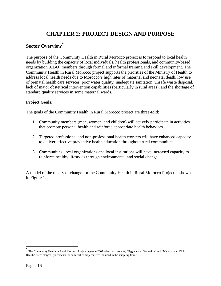## **CHAPTER 2: PROJECT DESIGN AND PURPOSE**

## <span id="page-15-0"></span>**Sector Overview[7](#page-15-1)**

The purpose of the Community Health in Rural Morocco project is to respond to local health needs by building the capacity of local individuals, health professionals, and community-based organization (CBO) members through formal and informal training and skill development. The Community Health in Rural Morocco project supports the priorities of the Ministry of Health to address local health needs due to Morocco's high rates of maternal and neonatal death, low use of prenatal health care services, poor water quality, inadequate sanitation, unsafe waste disposal, lack of major obstetrical intervention capabilities (particularly in rural areas), and the shortage of standard quality services in some maternal wards.

#### **Project Goals:**

The goals of the Community Health in Rural Morocco project are three-fold:

- 1. Community members (men, women, and children) will actively participate in activities that promote personal health and reinforce appropriate health behaviors**.**
- 2. Targeted professional and non-professional health workers will have enhanced capacity to deliver effective preventive health education throughout rural communities.
- 3. Communities, local organizations and local institutions will have increased capacity to reinforce healthy lifestyles through environmental and social change.

A model of the theory of change for the Community Health in Rural Morocco Project is shown in Figure 1.

<span id="page-15-1"></span>T<br>The Community Health in Rural Morocco Project began in 2007 when two projects, "Hygiene and Sanitation" and "Maternal and Child Health", were merged; placements for both earlier projects were included in the sampling frame.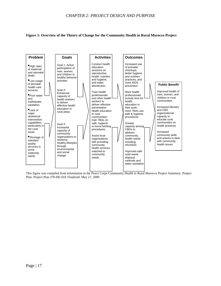#### <span id="page-16-0"></span>**Figure 1: Overview of the Theory of Change for the Community Health in Rural Morocco Project**



This figure was compiled from information in the Peace Corps Community Health in Rural Morocco Project Summary: Project Plan. Project Plan 378-HE-01E Finalized: May 27, 2009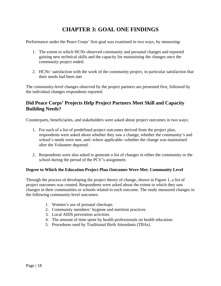<span id="page-17-0"></span>Performance under the Peace Corps' first goal was examined in two ways, by measuring:

- 1. The extent to which HCNs observed community and personal changes and reported gaining new technical skills and the capacity for maintaining the changes once the community project ended.
- 2. HCNs' satisfaction with the work of the community project, in particular satisfaction that their needs had been met

The community-level changes observed by the project partners are presented first, followed by the individual changes respondents reported.

## **Did Peace Corps' Projects Help Project Partners Meet Skill and Capacity Building Needs?**

Counterparts, beneficiaries, and stakeholders were asked about project outcomes in two ways:

- 1. For each of a list of predefined project outcomes derived from the project plan, respondents were asked about whether they saw a change, whether the community's and school's needs were met, and--where applicable--whether the change was maintained after the Volunteer departed.
- 2. Respondents were also asked to generate a list of changes in either the community or the school during the period of the PCV's assignment.

#### **Degree to Which the Education Project Plan Outcomes Were Met: Community Level**

Through the process of developing the project theory of change, shown in Figure 1, a list of project outcomes was created. Respondents were asked about the extent to which they saw changes in their communities or schools related to each outcome. The study measured changes in the following community-level outcomes:

- 1. Women's use of prenatal checkups
- 2. Community members' hygiene and nutrition practices
- 3. Local AIDS prevention activities
- 4. The amount of time spent by health professionals on health education
- 5. Procedures used by Traditional Birth Attendants (TBAs)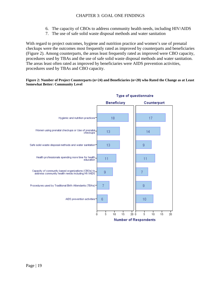- 6. The capacity of CBOs to address community health needs, including HIV/AIDS
- 7. The use of safe solid waste disposal methods and water sanitation

<span id="page-18-0"></span>With regard to project outcomes, hygiene and nutrition practice and women's use of prenatal checkups were the outcomes most frequently rated as improved by counterparts and beneficiaries (Figure 2). Among counterparts, the areas least frequently rated as improved were CBO capacity, procedures used by TBAs and the use of safe solid waste disposal methods and water sanitation. The areas least often rated as improved by beneficiaries were AIDS prevention activities, procedures used by TBAs and CBO capacity.

#### **Figure 2: Number of Project Counterparts (n=24) and Beneficiaries (n=20) who Rated the Change as at Least Somewhat Better: Community Level**



#### **Type of questionnaire**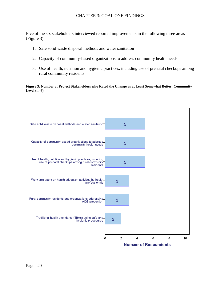<span id="page-19-0"></span>Five of the six stakeholders interviewed reported improvements in the following three areas (Figure 3):

- 1. Safe solid waste disposal methods and water sanitation
- 2. Capacity of community-based organizations to address community health needs
- 3. Use of health, nutrition and hygienic practices, including use of prenatal checkups among rural community residents

**Figure 3: Number of Project Stakeholders who Rated the Change as at Least Somewhat Better: Community Level (n=6)** 

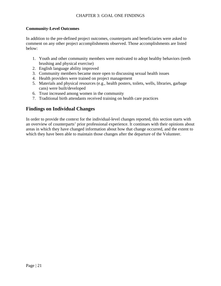#### <span id="page-20-0"></span>**Community-Level Outcomes**

In addition to the pre-defined project outcomes, counterparts and beneficiaries were asked to comment on any other project accomplishments observed. Those accomplishments are listed below:

- 1. Youth and other community members were motivated to adopt healthy behaviors (teeth brushing and physical exercise)
- 2. English language ability improved
- 3. Community members became more open to discussing sexual health issues
- 4. Health providers were trained on project management
- 5. Materials and physical resources (e.g., health posters, toilets, wells, libraries, garbage cans) were built/developed
- 6. Trust increased among women in the community
- 7. Traditional birth attendants received training on health care practices

### **Findings on Individual Changes**

In order to provide the context for the individual-level changes reported, this section starts with an overview of counterparts' prior professional experience. It continues with their opinions about areas in which they have changed information about how that change occurred, and the extent to which they have been able to maintain those changes after the departure of the Volunteer.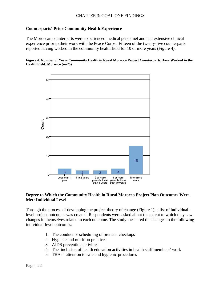#### <span id="page-21-0"></span>**Counterparts' Prior Community Health Experience**

The Moroccan counterparts were experienced medical personnel and had extensive clinical experience prior to their work with the Peace Corps. Fifteen of the twenty-five counterparts reported having worked in the community health field for 10 or more years (Figure 4).

#### **Figure 4: Number of Years Community Health in Rural Morocco Project Counterparts Have Worked in the Health Field: Morocco (n=25)**



#### **Degree to Which the Community Health in Rural Morocco Project Plan Outcomes Were Met: Individual Level**

Through the process of developing the project theory of change (Figure 1), a list of individuallevel project outcomes was created. Respondents were asked about the extent to which they saw changes in themselves related to each outcome. The study measured the changes in the following individual-level outcomes:

- 1. The conduct or scheduling of prenatal checkups
- 2. Hygiene and nutrition practices
- 3. AIDS prevention activities
- 4. The inclusion of health education activities in health staff members' work
- 5. TBAs' attention to safe and hygienic procedures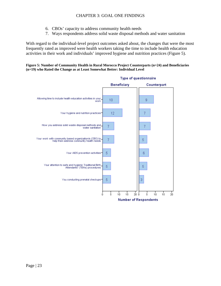- 6. CBOs' capacity to address community health needs
- 7. Ways respondents address solid waste disposal methods and water sanitation

<span id="page-22-0"></span>With regard to the individual-level project outcomes asked about, the changes that were the most frequently rated as improved were health workers taking the time to include health education activities in their work and individuals' improved hygiene and nutrition practices (Figure 5).

**Figure 5: Number of Community Health in Rural Morocco Project Counterparts (n=24) and Beneficiaries (n=19) who Rated the Change as at Least Somewhat Better: Individual Level** 

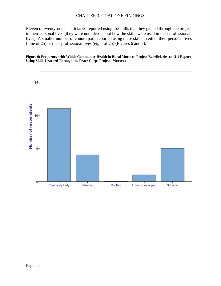<span id="page-23-0"></span>Eleven of twenty-one beneficiaries reported using the skills that they gained through the project in their personal lives (they were not asked about how the skills were used in their professional lives). A smaller number of counterparts reported using these skills in either their personal lives (nine of 25) or their professional lives (eight of 25) (Figures 6 and 7).

#### **Figure 6: Frequency with Which Community Health in Rural Morocco Project Beneficiaries (n=21) Report Using Skills Learned Through the Peace Corps Project: Morocco**

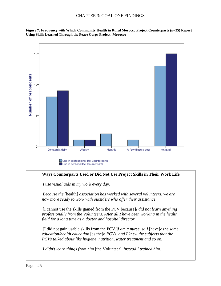<span id="page-24-0"></span>



Use in personal life: Counterparts

#### **Ways Counterparts Used or Did Not Use Project Skills in Their Work Life**

*I use visual aids in my work every day.* 

*Because the* [health] *association has worked with several volunteers, we are now more ready to work with outsiders who offer their assistance.* 

[I cannot use the skills gained from the PCV because]*I did not learn anything professionally from the Volunteers. After all I have been working in the health field for a long time as a doctor and hospital director.* 

[I did not gain usable skills from the PCV.]*I am a nurse, so I* [have]*e the same education/health education* [as the]*h PCVs, and I knew the subjects that the PCVs talked about like hygiene, nutrition, water treatment and so on.* 

*I didn't learn things from him* [the Volunteer]*, instead I trained him.*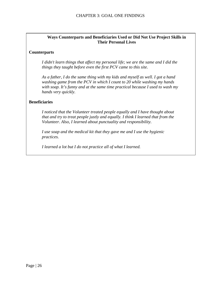#### **Ways Counterparts and Beneficiaries Used or Did Not Use Project Skills in Their Personal Lives**

#### **Counterparts**

*I didn't learn things that affect my personal life; we are the same and I did the things they taught before even the first PCV came to this site.* 

*As a father, I do the same thing with my kids and myself as well. I got a hand washing game from the PCV in which I count to 20 while washing my hands with soap. It's funny and at the same time practical because I used to wash my hands very quickly.* 

#### **Beneficiaries**

*I noticed that the Volunteer treated people equally and I have thought about that and try to treat people justly and equally. I think I learned that from the Volunteer. Also, I learned about punctuality and responsibility.* 

*I use soap and the medical kit that they gave me and I use the hygienic practices.* 

*I learned a lot but I do not practice all of what I learned.*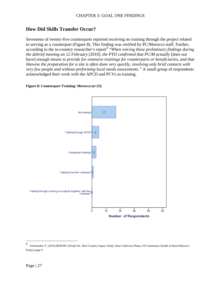## <span id="page-26-0"></span>**How Did Skills Transfer Occur?**

Seventeen of twenty-five counterparts reported receiving no training through the project related to serving as a counterpart (Figure 8). This finding was verified by PC/Morocco staff. Further, according to the in-country researcher's report<sup>[8](#page-26-1)</sup> "*When voicing these preliminary findings during the debrief meeting on 12 February* [2010]*, the PTO confirmed that PC/M actually* [does not have] *enough means to provide for extensive trainings for counterparts or beneficiaries, and that likewise the preparation for a site is often done very quickly, involving only brief contacts with very few people and without performing local needs assessments."* A small group of respondents acknowledged their work with the APCD and PCVs as training.

#### **Figure 8: Counterpart Training: Morocco (n=25)**



 $\overline{a}$ 

<span id="page-26-1"></span><sup>8</sup> Schoemaker T. (2010) REPORT *(Draft)* On Host Country Impact Study, Data Collection Phase, Of Community Health in Rural Morocco Project page 9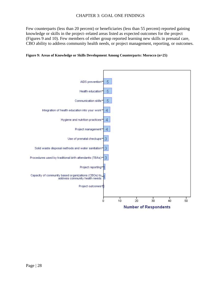<span id="page-27-0"></span>Few counterparts (less than 20 percent) or beneficiaries (less than 55 percent) reported gaining knowledge or skills in the project–related areas listed as expected outcomes for the project (Figures 9 and 10). Few members of either group reported learning new skills in prenatal care, CBO ability to address community health needs, or project management, reporting, or outcomes.



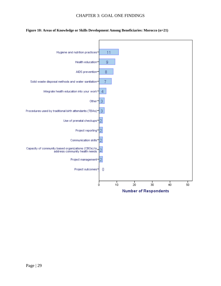<span id="page-28-0"></span>

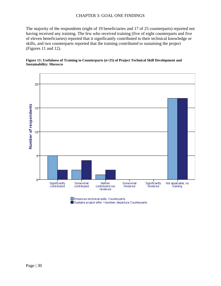<span id="page-29-0"></span>The majority of the respondents (eight of 19 beneficiaries and 17 of 25 counterparts) reported not having received any training. The few who received training (five of eight counterparts and five of eleven beneficiaries) reported that it significantly contributed to their technical knowledge or skills, and two counterparts reported that the training contributed to sustaining the project (Figures 11 and 12).





Enhances technical skills: Counterparts

Sustains project after Volunteer departure: Counterparts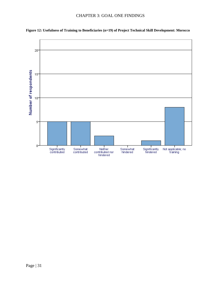

<span id="page-30-0"></span>**Figure 12: Usefulness of Training to Beneficiaries (n=19) of Project Technical Skill Development: Morocco**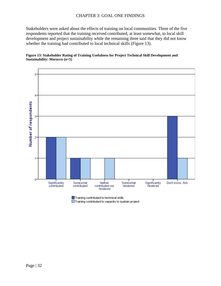<span id="page-31-0"></span>Stakeholders were asked about the effects of training on local communities. Three of the five respondents reported that the training received contributed, at least somewhat, to local skill development and project sustainability while the remaining three said that they did not know whether the training had contributed to local technical skills (Figure 13).

#### **Figure 13: Stakeholder Rating of Training Usefulness for Project Technical Skill Development and Sustainability: Morocco (n=5)**



Training contributed to technical skills

Training contributed to capacity to sustain project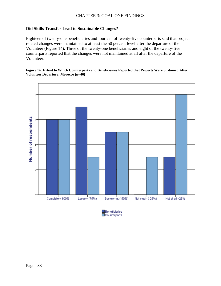#### <span id="page-32-0"></span>**Did Skills Transfer Lead to Sustainable Changes?**

Eighteen of twenty-one beneficiaries and fourteen of twenty-five counterparts said that project – related changes were maintained to at least the 50 percent level after the departure of the Volunteer (Figure 14). Three of the twenty-one beneficiaries and eight of the twenty-five counterparts reported that the changes were not maintained at all after the departure of the Volunteer.

#### **Figure 14: Extent to Which Counterparts and Beneficiaries Reported that Projects Were Sustained After Volunteer Departure: Morocco (n=46)**



Beneficiaries  $\Box$ Counterparts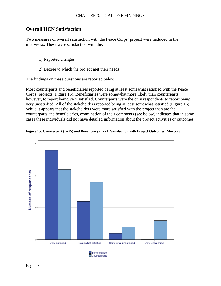### <span id="page-33-0"></span>**Overall HCN Satisfaction**

Two measures of overall satisfaction with the Peace Corps' project were included in the interviews. These were satisfaction with the:

- 1) Reported changes
- 2) Degree to which the project met their needs

The findings on these questions are reported below:

Most counterparts and beneficiaries reported being at least somewhat satisfied with the Peace Corps' projects (Figure 15). Beneficiaries were somewhat more likely than counterparts, however, to report being very satisfied. Counterparts were the only respondents to report being very unsatisfied. All of the stakeholders reported being at least somewhat satisfied (Figure 16). While it appears that the stakeholders were more satisfied with the project than are the counterparts and beneficiaries, examination of their comments (see below) indicates that in some cases these individuals did not have detailed information about the project activities or outcomes.



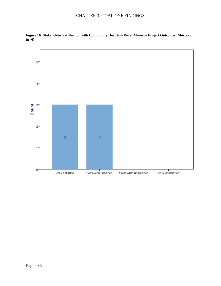

<span id="page-34-0"></span>**Figure 16: Stakeholder Satisfaction with Community Health in Rural Morocco Project Outcomes: Morocco (n=6)**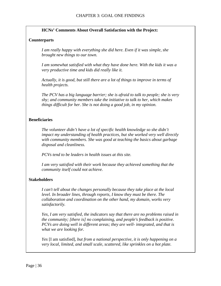#### **HCNs' Comments About Overall Satisfaction with the Project:**

#### **Counterparts**

*I am really happy with everything she did here. Even if it was simple, she brought new things to our town.* 

*I am somewhat satisfied with what they have done here. With the kids it was a very productive time and kids did really like it.* 

*Actually, it is good, but still there are a lot of things to improve in terms of health projects.* 

*The PCV has a big language barrier; she is afraid to talk to people; she is very shy; and community members take the initiative to talk to her, which makes things difficult for her. She is not doing a good job, in my opinion.* 

#### **Beneficiaries**

*The volunteer didn't have a lot of specific health knowledge so she didn't impact my understanding of health practices, but she worked very well directly with community members. She was good at teaching the basics about garbage disposal and cleanliness.* 

*PCVs tend to be leaders in health issues at this site.* 

*I am very satisfied with their work because they achieved something that the community itself could not achieve.* 

#### **Stakeholders**

*I can't tell about the changes personally because they take place at the local level. In broader lines, through reports, I know they must be there. The collaboration and coordination on the other hand, my domain, works very satisfactorily.* 

*Yes, I am very satisfied, the indicators say that there are no problems raised in the community; [there is] no complaining, and people's feedback is positive. PCVs are doing well in different areas; they are well- integrated, and that is what we are looking for.* 

*Yes* [I am satisfied]*, but from a national perspective, it is only happening on a very local, limited, and small scale, scattered, like sprinkles on a hot plate.*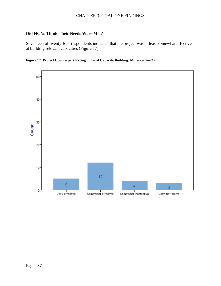#### <span id="page-36-0"></span>**Did HCNs Think Their Needs Were Met?**

Seventeen of twenty-four respondents indicated that the project was at least somewhat effective at building relevant capacities (Figure 17).



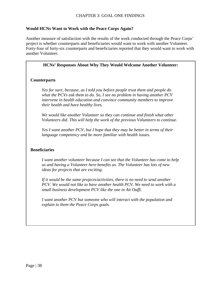#### **Would HCNs Want to Work with the Peace Corps Again?**

Another measure of satisfaction with the results of the work conducted through the Peace Corps' project is whether counterparts and beneficiaries would want to work with another Volunteer. Forty-four of forty-six counterparts and beneficiaries reported that they would want to work with another Volunteer.

#### **HCNs' Responses About Why They Would Welcome Another Volunteer:**

#### **Counterparts**

*Yes for sure, because, as I told you before people trust them and people do what the PCVs ask them to do. So, I see no problem in having another PCV intervene in health education and convince community members to improve their health and have healthy lives.* 

*We would like another Volunteer so they can continue and finish what other Volunteers did. This will help the work of the previous Volunteers to continue.* 

*Yes I want another PCV, but I hope that they may be better in terms of their language competency and be more familiar with health issues.* 

#### **Beneficiaries**

*I want another volunteer because I can see that the Volunteer has come to help us and having a Volunteer here benefits us. The Volunteer has lots of new ideas for projects that are exciting.* 

*If it would be the same projects/activities, there is no need to send another PCV. We would not like to have another health PCV. We need to work with a small business development PCV like the one in Ait Ouffi.* 

*I want another PCV but someone who will interact with the population and explain to them the Peace Corps goals.*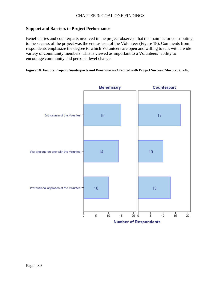#### <span id="page-38-0"></span>**Support and Barriers to Project Performance**

Beneficiaries and counterparts involved in the project observed that the main factor contributing to the success of the project was the enthusiasm of the Volunteer (Figure 18). Comments from respondents emphasize the degree to which Volunteers are open and willing to talk with a wide variety of community members. This is viewed as important to a Volunteers' ability to encourage community and personal level change.

#### **Figure 18: Factors Project Counterparts and Beneficiaries Credited with Project Success: Morocco (n=46)**

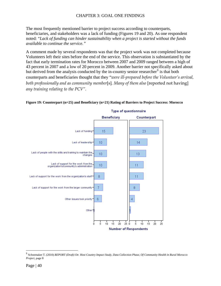<span id="page-39-0"></span>The most frequently mentioned barrier to project success according to counterparts, beneficiaries, and stakeholders was a lack of funding (Figures 19 and 20). As one respondent noted: "*Lack of funding can hinder sustainability when a project is started without the funds available to continue the service."*

A comment made by several respondents was that the project work was not completed because Volunteers left their sites before the end of the service. This observation is substantiated by the fact that early termination rates for Morocco between 2007 and 2009 ranged between a high of 43 percent in 2007 and a low of 20 percent in 2009. Another barrier not specifically asked about but derived from the analysis conducted by the in-country senior researcher<sup>[9](#page-39-1)</sup> is that both counterparts and beneficiaries thought that they "*were ill‐prepared before the Volunteer's arrival, both professionally and as community member*[s]*. Many of them also* [reported not having] *any training relating to the PCV".*



#### **Figure 19: Counterpart (n=25) and Beneficiary (n=21) Rating of Barriers to Project Success: Morocco**

1

<span id="page-39-1"></span><sup>9</sup> Schoemaker T. (2010) *REPORT (Draft) On Host Country Impact Study, Data Collection Phase, Of Community Health in Rural Morocco Project*, page 8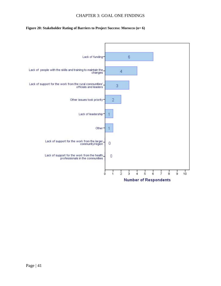#### <span id="page-40-0"></span>**Figure 20: Stakeholder Rating of Barriers to Project Success: Morocco (n= 6)**

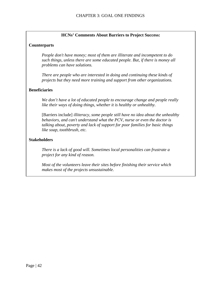#### **HCNs' Comments About Barriers to Project Success:**

#### **Counterparts**

*People don't have money; most of them are illiterate and incompetent to do such things, unless there are some educated people. But, if there is money all problems can have solutions.* 

*There are people who are interested in doing and continuing these kinds of projects but they need more training and support from other organizations.* 

#### **Beneficiaries**

*We don't have a lot of educated people to encourage change and people really like their ways of doing things, whether it is healthy or unhealthy.* 

[Barriers include] *illiteracy, some people still have no idea about the unhealthy behaviors, and can't understand what the PCV, nurse or even the doctor is talking about, poverty and lack of support for poor families for basic things like soap, toothbrush, etc.* 

#### **Stakeholders**

*There is a lack of good will. Sometimes local personalities can frustrate a project for any kind of reason.* 

*Most of the volunteers leave their sites before finishing their service which makes most of the projects unsustainable.*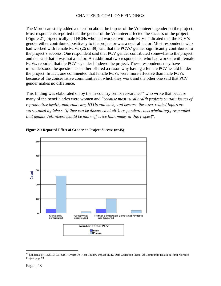<span id="page-42-0"></span>The Moroccan study added a question about the impact of the Volunteer's gender on the project. Most respondents reported that the gender of the Volunteer affected the success of the project (Figure 21). Specifically, all HCNs who had worked with male PCVs indicated that the PCV's gender either contributed positively to the project or was a neutral factor. Most respondents who had worked with female PCVs (26 of 39) said that the PCVs' gender significantly contributed to the project's success. One respondent said that PCV gender contributed somewhat to the project and ten said that it was not a factor. An additional two respondents, who had worked with female PCVs, reported that the PCV's gender hindered the project. These respondents may have misunderstood the question as neither offered a reason why having a female PCV would hinder the project. In fact, one commented that female PCVs were more effective than male PCVs because of the conservative communities in which they work and the other one said that PCV gender makes no difference.

This finding was elaborated on by the in-country senior researcher<sup>[10](#page-42-1)</sup> who wrote that because many of the beneficiaries were women and "b*ecause most rural health projects contain issues of reproductive health, maternal care, STDs and such, and because these sex related topics are surrounded by taboos (if they can be discussed at all!), respondents overwhelmingly responded that female Volunteers would be more effective than males in this respect*".



#### **Figure 21: Reported Effect of Gender on Project Success (n=45)**

1

<span id="page-42-1"></span><sup>10</sup> Schoemaker T. (2010) REPORT *(Draft)* On Host Country Impact Study, Data Collection Phase, Of Community Health in Rural Morocco Project page 13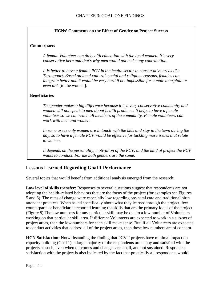#### **HCNs' Comments on the Effect of Gender on Project Success**

#### <span id="page-43-0"></span>**Counterparts**

*A female Volunteer can do health education with the local women. It's very conservative here and that's why men would not make any contribution.* 

*It is better to have a female PCV in the health sector in conservative areas like Tazouggart. Based on local cultural, social and religious reasons, females can integrate better and it would be very hard if not impossible for a male to explain or even talk* [to the women].

#### **Beneficiaries**

*The gender makes a big difference because it is a very conservative community and women will not speak to men about health problems. It helps to have a female volunteer so we can reach all members of the community. Female volunteers can work with men and women.* 

In some areas only women are in touch with the kids and stay in the town during the *day, so to have a female PCV would be effective for tackling more issues that relate to women.* 

*It depends on the personality, motivation of the PCV, and the kind of project the PCV wants to conduct. For me both genders are the same.* 

## **Lessons Learned Regarding Goal 1 Performance**

Several topics that would benefit from additional analysis emerged from the research:

**Low level of skills transfer:** Responses to several questions suggest that respondents are not adopting the health–related behaviors that are the focus of the project (for examples see Figures 5 and 6). The rates of change were especially low regarding pre-natal care and traditional birth attendant practices. When asked specifically about what they learned through the project, few counterparts or beneficiaries reported learning the skills that are the primary focus of the project (Figure 8).The low numbers for any particular skill may be due to a low number of Volunteers working on that particular skill area. If different Volunteers are expected to work in a sub-set of project areas, then the low numbers for each skill make sense. But, if all Volunteers are expected to conduct activities that address all of the project areas, then these low numbers are of concern.

**HCN Satisfaction:** Notwithstanding the finding that PCVs' projects have minimal impact on capacity building (Goal 1), a large majority of the respondents are happy and satisfied with the projects as such, even when outcomes and changes are small, and not sustained. Respondent satisfaction with the project is also indicated by the fact that practically all respondents would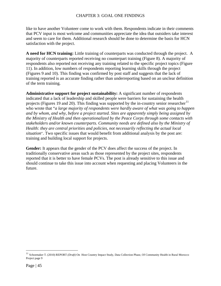like to have another Volunteer come to work with them. Respondents indicate in their comments that PCV input is most welcome and communities appreciate the idea that outsiders take interest and seem to care for them. Additional research should be done to determine the basis for HCN satisfaction with the project.

**A need for HCN training:** Little training of counterparts was conducted through the project.A majority of counterparts reported receiving no counterpart training (Figure 8). A majority of respondents also reported not receiving any training related to the specific project topics (Figure 11). In addition, low numbers of respondents reporting learning skills through the project (Figures 9 and 10). This finding was confirmed by post staff and suggests that the lack of training reported is an accurate finding rather than underreporting based on an unclear definition of the term training.

**Administrative support for project sustainability:** A significant number of respondents indicated that a lack of leadership and skilled people were barriers for sustaining the health projects (Figures 19 and 20). This finding was supported by the in-country senior researcher<sup>[11](#page-44-0)</sup> who wrote that "*a large majority of respondents were hardly aware of what was going to happen and by whom, and why, before a project started. Sites are apparently simply being assigned by the Ministry of Health and then operationalized by the Peace Corps through some contacts with stakeholders and/or known counterparts. Community needs are defined also by the Ministry of Health: they are central priorities and policies, not necessarily reflecting the actual local situation*"*.* Two specific issues that would benefit from additional analysis by the post are: training and building local support for projects.

**Gender:** It appears that the gender of the PCV does affect the success of the project. In traditionally conservative areas such as those represented by the project sites, respondents reported that it is better to have female PCVs. The post is already sensitive to this issue and should continue to take this issue into account when requesting and placing Volunteers in the future.

 $\overline{a}$ 

<span id="page-44-0"></span><sup>11</sup> Schoemaker T. (2010) REPORT *(Draft)* On Host Country Impact Study, Data Collection Phase, Of Community Health in Rural Morocco Project page 9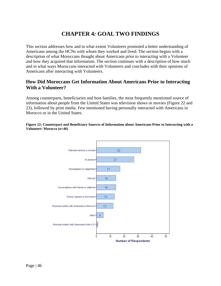<span id="page-45-0"></span>This section addresses how and to what extent Volunteers promoted a better understanding of Americans among the HCNs with whom they worked and lived. The section begins with a description of what Moroccans thought about Americans prior to interacting with a Volunteer and how they acquired that information. The section continues with a description of how much and in what ways Moroccans interacted with Volunteers and concludes with their opinions of Americans after interacting with Volunteers.

## **How Did Moroccans Get Information About Americans Prior to Interacting With a Volunteer?**

Among counterparts, beneficiaries and host families, the most frequently mentioned source of information about people from the United States was television shows or movies (Figure 22 and 23), followed by print media. Few mentioned having personally interacted with Americans in Morocco or in the United States.

#### **Figure 22: Counterpart and Beneficiary Sources of Information about Americans Prior to Interacting with a Volunteer: Morocco (n=46)**

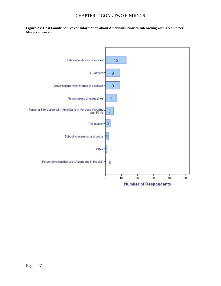<span id="page-46-0"></span>**Figure 23: Host Family Sources of Information about Americans Prior to Interacting with a Volunteer: Morocco (n=22)** 

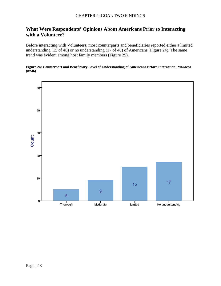## <span id="page-47-0"></span>**What Were Respondents' Opinions About Americans Prior to Interacting with a Volunteer?**

Before interacting with Volunteers, most counterparts and beneficiaries reported either a limited understanding (15 of 46) or no understanding (17 of 46) of Americans (Figure 24). The same trend was evident among host family members (Figure 25).

#### **Figure 24: Counterpart and Beneficiary Level of Understanding of Americans Before Interaction: Morocco (n=46)**

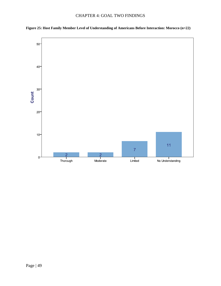

<span id="page-48-0"></span>**Figure 25: Host Family Member Level of Understanding of Americans Before Interaction: Morocco (n=22)**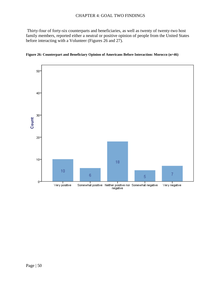<span id="page-49-0"></span> Thirty-four of forty-six counterparts and beneficiaries, as well as twenty of twenty-two host family members, reported either a neutral or positive opinion of people from the United States before interacting with a Volunteer (Figures 26 and 27).



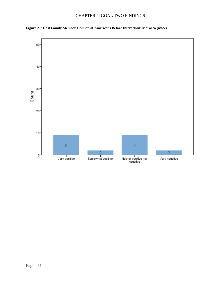<span id="page-50-0"></span>

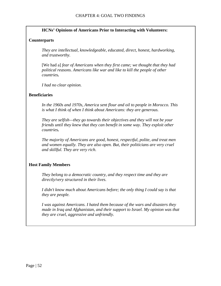#### **HCNs' Opinions of Americans Prior to Interacting with Volunteers:**

#### **Counterparts**

*They are intellectual, knowledgeable, educated, direct, honest, hardworking, and trustworthy.* 

[We had a] *fear of Americans when they first came; we thought that they had political reasons. Americans like war and like to kill the people of other countries.* 

*I had no clear opinion.* 

#### **Beneficiaries**

*In the 1960s and 1970s, America sent flour and oil to people in Morocco. This is what I think of when I think about Americans: they are generous.* 

*They are selfish—they go towards their objectives and they will not be your friends until they knew that they can benefit in some way. They exploit other countries.* 

*The majority of Americans are good, honest, respectful, polite, and treat men and women equally. They are also open. But, their politicians are very cruel and skillful. They are very rich.* 

#### **Host Family Members**

*They belong to a democratic country, and they respect time and they are directly/very structured in their lives.* 

*I didn't know much about Americans before; the only thing I could say is that they are people.* 

*I was against Americans. I hated them because of the wars and disasters they made in Iraq and Afghanistan, and their support to Israel. My opinion was that they are cruel, aggressive and unfriendly.*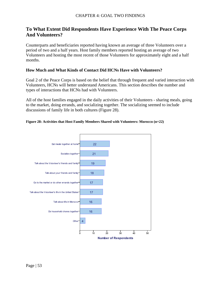## <span id="page-52-0"></span>**To What Extent Did Respondents Have Experience With The Peace Corps And Volunteers?**

Counterparts and beneficiaries reported having known an average of three Volunteers over a period of two and a half years. Host family members reported hosting an average of two Volunteers and hosting the most recent of those Volunteers for approximately eight and a half months.

#### **How Much and What Kinds of Contact Did HCNs Have with Volunteers?**

Goal 2 of the Peace Corps is based on the belief that through frequent and varied interaction with Volunteers, HCNs will better understand Americans. This section describes the number and types of interactions that HCNs had with Volunteers.

All of the host families engaged in the daily activities of their Volunteers - sharing meals, going to the market, doing errands, and socializing together. The socializing seemed to include discussions of family life in both cultures (Figure 28).

#### **Figure 28: Activities that Host Family Members Shared with Volunteers: Morocco (n=22)**

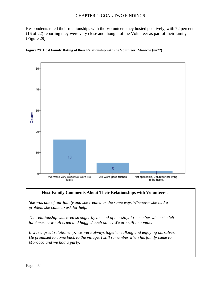<span id="page-53-0"></span>Respondents rated their relationships with the Volunteers they hosted positively, with 72 percent (16 of 22) reporting they were very close and thought of the Volunteer as part of their family (Figure 29).





#### **Host Family Comments About Their Relationships with Volunteers:**

*She was one of our family and she treated us the same way. Whenever she had a problem she came to ask for help.* 

*The relationship was even stronger by the end of her stay. I remember when she left for America we all cried and hugged each other. We are still in contact.* 

*It was a great relationship; we were always together talking and enjoying ourselves. He promised to come back to the village. I still remember when his family came to Morocco and we had a party.*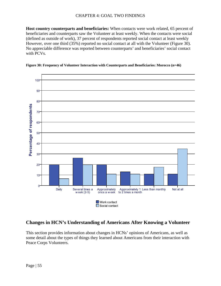<span id="page-54-0"></span>**Host country counterparts and beneficiaries:** When contacts were work related, 65 percent of beneficiaries and counterparts saw the Volunteer at least weekly. When the contacts were social (defined as outside of work), 37 percent of respondents reported social contact at least weekly However, over one third (35%) reported no social contact at all with the Volunteer (Figure 30). No appreciable difference was reported between counterparts' and beneficiaries' social contact with PCVs.



#### **Figure 30: Frequency of Volunteer Interaction with Counterparts and Beneficiaries: Morocco (n=46)**

## **Changes in HCN's Understanding of Americans After Knowing a Volunteer**

This section provides information about changes in HCNs' opinions of Americans, as well as some detail about the types of things they learned about Americans from their interaction with Peace Corps Volunteers.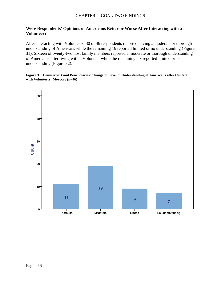#### <span id="page-55-0"></span>**Were Respondents' Opinions of Americans Better or Worse After Interacting with a Volunteer?**

After interacting with Volunteers, 30 of 46 respondents reported having a moderate or thorough understanding of Americans while the remaining 16 reported limited or no understanding (Figure 31). Sixteen of twenty-two host family members reported a moderate or thorough understanding of Americans after living with a Volunteer while the remaining six reported limited or no understanding (Figure 32).

#### **Figure 31: Counterpart and Beneficiaries' Change in Level of Understanding of Americans after Contact with Volunteers: Morocco (n=46)**

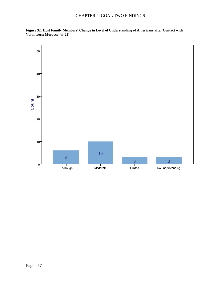<span id="page-56-0"></span>**Figure 32: Host Family Members' Change in Level of Understanding of Americans after Contact with Volunteers: Morocco (n=22)** 

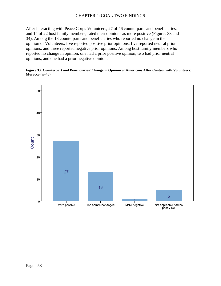<span id="page-57-0"></span>After interacting with Peace Corps Volunteers, 27 of 46 counterparts and beneficiaries, and 14 of 22 host family members, rated their opinions as more positive (Figures 33 and 34). Among the 13 counterparts and beneficiaries who reported no change in their opinion of Volunteers, five reported positive prior opinions, five reported neutral prior opinions, and three reported negative prior opinions. Among host family members who reported no change in opinion, one had a prior positive opinion, two had prior neutral opinions, and one had a prior negative opinion.

#### **Figure 33: Counterpart and Beneficiaries' Change in Opinion of Americans After Contact with Volunteers: Morocco (n=46)**

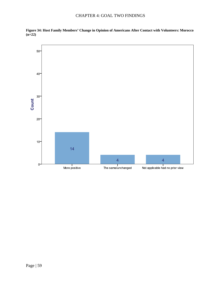

<span id="page-58-0"></span>**Figure 34: Host Family Members' Change in Opinion of Americans After Contact with Volunteers: Morocco (n=22)**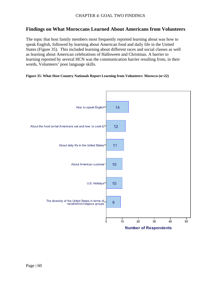### <span id="page-59-0"></span>**Findings on What Moroccans Learned About Americans from Volunteers**

The topic that host family members most frequently reported learning about was how to speak English, followed by learning about American food and daily life in the United States (Figure 35). This included learning about different races and social classes as well as learning about American celebrations of Halloween and Christmas. A barrier to learning reported by several HCN was the communication barrier resulting from, in their words, Volunteers' poor language skills.

#### **Figure 35: What Host Country Nationals Report Learning from Volunteers: Morocco (n=22)**

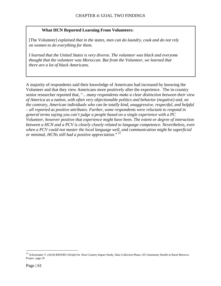#### **What HCN Reported Learning From Volunteers:**

[The Volunteer] *explained that in the states, men can do laundry, cook and do not rely on women to do everything for them.* 

*I learned that the United States is very diverse. The volunteer was black and everyone thought that the volunteer was Moroccan. But from the Volunteer, we learned that there are a lot of black Americans.* 

A majority of respondents said their knowledge of Americans had increased by knowing the Volunteer and that they view Americans more positively after the experience. The in-country senior researcher reported that, "…*many respondents make a clear distinction between their view of America as a nation, with often very objectionable politics and behavior (negative) and, on the contrary, American individuals who can be totally kind, unaggressive, respectful, and helpful – all reported as positive attributes. Further, some respondents were reluctant to respond in general terms saying you can't judge a people based on a single experience with a PC Volunteer, however positive that experience might have been. The extent or degree of interaction between a HCN and a PCV is clearly closely related to language competence. Nevertheless, even when a PCV could not master the local language well, and communication might be superficial or minimal, HCNs still had a positive appreciation*." [12](#page-60-0)

 $\overline{a}$ 

<span id="page-60-0"></span><sup>12</sup> Schoemaker T. (2010) REPORT *(Draft)* On Host Country Impact Study, Data Collection Phase, Of Community Health in Rural Morocco Project page 10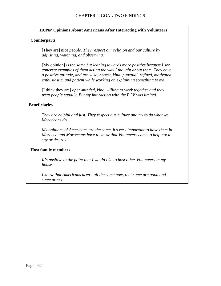#### **HCNs' Opinions About Americans After Interacting with Volunteers**

#### **Counterparts**

[They are] *nice people. They respect our religion and our culture by adjusting, watching, and observing.* 

[My opinion] *is the same but leaning towards more positive because I see concrete examples of them acting the way I thought about them. They have a positive attitude, and are wise, honest, kind, punctual, refined, motivated, enthusiastic, and patient while working on explaining something to me.* 

[I think they are] *open-minded, kind, willing to work together and they treat people equally. But my interaction with the PCV was limited.* 

#### **Beneficiaries**

*They are helpful and just. They respect our culture and try to do what we Moroccans do.* 

*My opinions of Americans are the same, it's very important to have them in Morocco and Moroccans have to know that Volunteers come to help not to spy or destroy.* 

#### **Host family members**

*It's positive to the point that I would like to host other Volunteers in my house.* 

*I know that Americans aren't all the same now, that some are good and some aren't.*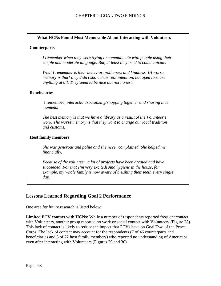#### <span id="page-62-0"></span>**What HCNs Found Most Memorable About Interacting with Volunteers**

#### **Counterparts**

*I remember when they were trying to communicate with people using their simple and moderate language. But, at least they tried to communicate.* 

*What I remember is their behavior, politeness and kindness. [A worse memory is that] they didn't show their real intention, not open to share anything at all. They seem to be nice but not honest.* 

#### **Beneficiaries**

[I remember] *interaction/socializing/shopping together and sharing nice moments* 

*The best memory is that we have a library as a result of the Volunteer's work. The worse memory is that they want to change our local tradition and customs.* 

#### **Host family members**

*She was generous and polite and she never complained. She helped me financially.* 

*Because of the volunteer, a lot of projects have been created and have succeeded. For that I'm very excited! And hygiene in the house, for example, my whole family is now aware of brushing their teeth every single day.* 

### **Lessons Learned Regarding Goal 2 Performance**

One area for future research is listed below:

**Limited PCV contact with HCNs:** While a number of respondents reported frequent contact with Volunteers, another group reported no work or social contact with Volunteers (Figure 28). This lack of contact is likely to reduce the impact that PCVs have on Goal Two of the Peace Corps. The lack of contact may account for the respondents (7 of 46 counterparts and beneficiaries and 3 of 22 host family members) who reported no understanding of Americans even after interacting with Volunteers (Figures 29 and 30).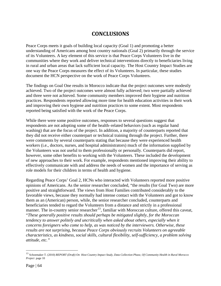## **CONCLUSIONS**

Peace Corps meets it goals of building local capacity (Goal 1) and promoting a better understanding of Americans among host country nationals (Goal 2) primarily through the service of its Volunteers. A key element of this service is that Peace Corps Volunteers live in the communities where they work and deliver technical interventions directly to beneficiaries living in rural and urban areas that lack sufficient local capacity. The Host Country Impact Studies are one way the Peace Corps measures the effect of its Volunteers. In particular, these studies document the HCN perspective on the work of Peace Corps Volunteers.

The findings on Goal One results in Morocco indicate that the project outcomes were modestly achieved. Two of the project outcomes were almost fully achieved; two were partially achieved and three were not achieved. Some community members improved their hygiene and nutrition practices. Respondents reported allowing more time for health education activities in their work and improving their own hygiene and nutrition practices to some extent. Most respondents reported being satisfied with the work of the Peace Corps.

While there were some positive outcomes, responses to several questions suggest that respondents are not adopting some of the health–related behaviors (such as regular hand washing) that are the focus of the project. In addition, a majority of counterparts reported that they did not receive either counterpart or technical training through the project. Further, there were comments by several counterparts stating that because they were experienced health workers (i.e., doctors, nurses, and hospital administrators) much of the information supplied by the Volunteers was not useful to them professionally or personally. Counterparts did report, however, some other benefits to working with the Volunteers. These included the development of new approaches to their work. For example, respondents mentioned improving their ability to effectively communicate with and address the needs of women and the importance of serving as role models for their children in terms of health and hygiene.

Regarding Peace Corps' Goal 2, HCNs who interacted with Volunteers reported more positive opinions of Americans. As the senior researcher concluded, "the results (for Goal Two) are more positive and straightforward. The views from Host Families contributed considerably to the favorable views, because they normally had intense contact with the Volunteers and got to know them as an (American) person, while, the senior researcher concluded, counterparts and beneficiaries tended to regard the Volunteers from a distance and strictly in a professional manner. The in-country senior researcher<sup>[13](#page-63-0)</sup>, familiar with Moroccan culture, offered this caveat, "*These generally positive results should perhaps be mitigated slightly, for the Moroccan tendency to answer politely and uncritically when asked about others, especially when it concerns foreigners who come to help, as was noticed by the interviewers. Otherwise, these results are not surprising, because Peace Corps obviously recruits Volunteers on agreeable characteristics, as kindness, social skills, cultural flexibility, self-sufficiency, a problem solving attitude, etc."*

 $\overline{a}$ 

<span id="page-63-0"></span><sup>13</sup> Schoemaker T. (2010) *REPORT (Draft) On Host Country Impact Study, Data Collection Phase, Of Community Health in Rural Morocco Project* page 10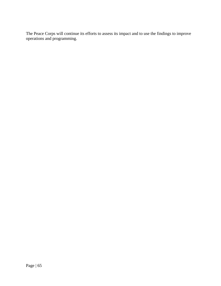<span id="page-64-0"></span>The Peace Corps will continue its efforts to assess its impact and to use the findings to improve operations and programming.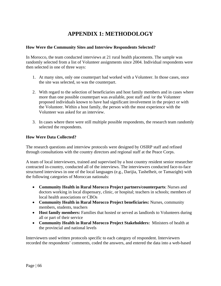## **APPENDIX 1: METHODOLOGY**

#### <span id="page-65-0"></span>**How Were the Community Sites and Interview Respondents Selected?**

In Morocco, the team conducted interviews at 21 rural health placements. The sample was randomly selected from a list of Volunteer assignments since 2004. Individual respondents were then selected in one of three ways:

- 1. At many sites, only one counterpart had worked with a Volunteer. In those cases, once the site was selected, so was the counterpart.
- 2. With regard to the selection of beneficiaries and host family members and in cases where more than one possible counterpart was available, post staff and /or the Volunteer proposed individuals known to have had significant involvement in the project or with the Volunteer. Within a host family, the person with the most experience with the Volunteer was asked for an interview.
- 3. In cases where there were still multiple possible respondents, the research team randomly selected the respondents.

#### **How Were Data Collected?**

The research questions and interview protocols were designed by OSIRP staff and refined through consultations with the country directors and regional staff at the Peace Corps.

A team of local interviewers, trained and supervised by a host country resident senior researcher contracted in-country, conducted all of the interviews. The interviewers conducted face-to-face structured interviews in one of the local languages (e.g., Darijia, Tashelheit, or Tamazight) with the following categories of Moroccan nationals:

- **Community Health in Rural Morocco Project partners/counterparts**: Nurses and doctors working in local dispensary, clinic, or hospital; teachers in schools; members of local health associations or CBOs
- **Community Health in Rural Morocco Project beneficiaries:** Nurses, community members, students, teachers
- **Host family members:** Families that hosted or served as landlords to Volunteers during all or part of their service
- **Community Health in Rural Morocco Project Stakeholders:** Ministers of health at the provincial and national levels

Interviewers used written protocols specific to each category of respondent. Interviewers recorded the respondents' comments, coded the answers, and entered the data into a web-based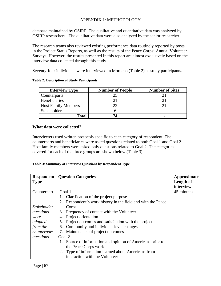#### APPENDIX 1: METHODOLOGY

<span id="page-66-0"></span>database maintained by OSIRP. The qualitative and quantitative data was analyzed by OSIRP researchers. The qualitative data were also analyzed by the senior researcher.

The research teams also reviewed existing performance data routinely reported by posts in the Project Status Reports, as well as the results of the Peace Corps' Annual Volunteer Surveys. However, the results presented in this report are almost exclusively based on the interview data collected through this study.

Seventy-four individuals were interviewed in Morocco (Table 2) as study participants.

#### **Table 2: Description of Study Participants**

| <b>Interview Type</b>      | <b>Number of People</b> | <b>Number of Sites</b> |
|----------------------------|-------------------------|------------------------|
| Counterparts               | 25                      |                        |
| Beneficiaries              |                         |                        |
| <b>Host Family Members</b> |                         |                        |
| <b>Stakeholders</b>        |                         | -                      |
| Total                      | 74                      |                        |

#### **What data were collected?**

Interviewers used written protocols specific to each category of respondent. The counterparts and beneficiaries were asked questions related to both Goal 1 and Goal 2. Host family members were asked only questions related to Goal 2. The categories covered for each of the three groups are shown below (Table 3).

#### **Table 3: Summary of Interview Questions by Respondent Type**

| Respondent         | <b>Question Categories</b>                                    | <b>Approximate</b> |
|--------------------|---------------------------------------------------------------|--------------------|
| <b>Type</b>        |                                                               | Length of          |
|                    |                                                               | interview          |
| Counterpart        | Goal 1                                                        | 45 minutes         |
|                    | 1. Clarification of the project purpose                       |                    |
|                    | 2. Respondent's work history in the field and with the Peace  |                    |
| <i>Stakeholder</i> | Corps                                                         |                    |
| questions          | 3. Frequency of contact with the Volunteer                    |                    |
| were               | 4. Project orientation                                        |                    |
| adapted            | 5. Project outcomes and satisfaction with the project         |                    |
| from the           | Community and individual-level changes<br>6.                  |                    |
| counterpart        | Maintenance of project outcomes<br>7.                         |                    |
| questions.         | Goal 2                                                        |                    |
|                    | Source of information and opinion of Americans prior to<br>1. |                    |
|                    | the Peace Corps work                                          |                    |
|                    | 2. Type of information learned about Americans from           |                    |
|                    | interaction with the Volunteer                                |                    |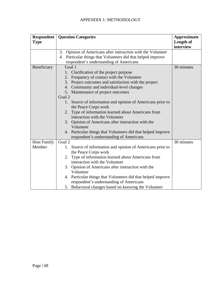### APPENDIX 1: METHODOLOGY

| <b>Respondent</b><br><b>Type</b> | <b>Question Categories</b>                                                                                                                                                                                                                                                                                                                                                                                                                                                                                                                                                                                                                                           | <b>Approximate</b><br>Length of<br>interview |
|----------------------------------|----------------------------------------------------------------------------------------------------------------------------------------------------------------------------------------------------------------------------------------------------------------------------------------------------------------------------------------------------------------------------------------------------------------------------------------------------------------------------------------------------------------------------------------------------------------------------------------------------------------------------------------------------------------------|----------------------------------------------|
|                                  | 3. Opinion of Americans after interaction with the Volunteer                                                                                                                                                                                                                                                                                                                                                                                                                                                                                                                                                                                                         |                                              |
|                                  | 4. Particular things that Volunteers did that helped improve                                                                                                                                                                                                                                                                                                                                                                                                                                                                                                                                                                                                         |                                              |
|                                  | respondent's understanding of Americans                                                                                                                                                                                                                                                                                                                                                                                                                                                                                                                                                                                                                              |                                              |
| Beneficiary                      | Goal 1                                                                                                                                                                                                                                                                                                                                                                                                                                                                                                                                                                                                                                                               | 30 minutes                                   |
|                                  | 1. Clarification of the project purpose                                                                                                                                                                                                                                                                                                                                                                                                                                                                                                                                                                                                                              |                                              |
|                                  | Frequency of contact with the Volunteer<br>2.                                                                                                                                                                                                                                                                                                                                                                                                                                                                                                                                                                                                                        |                                              |
|                                  | Project outcomes and satisfaction with the project<br>3.                                                                                                                                                                                                                                                                                                                                                                                                                                                                                                                                                                                                             |                                              |
|                                  | 4. Community and individual-level changes                                                                                                                                                                                                                                                                                                                                                                                                                                                                                                                                                                                                                            |                                              |
|                                  | 5. Maintenance of project outcomes                                                                                                                                                                                                                                                                                                                                                                                                                                                                                                                                                                                                                                   |                                              |
|                                  | Goal 2                                                                                                                                                                                                                                                                                                                                                                                                                                                                                                                                                                                                                                                               |                                              |
|                                  | 1. Source of information and opinion of Americans prior to                                                                                                                                                                                                                                                                                                                                                                                                                                                                                                                                                                                                           |                                              |
|                                  |                                                                                                                                                                                                                                                                                                                                                                                                                                                                                                                                                                                                                                                                      |                                              |
|                                  | 2.                                                                                                                                                                                                                                                                                                                                                                                                                                                                                                                                                                                                                                                                   |                                              |
|                                  |                                                                                                                                                                                                                                                                                                                                                                                                                                                                                                                                                                                                                                                                      |                                              |
|                                  | 3. Opinion of Americans after interaction with the                                                                                                                                                                                                                                                                                                                                                                                                                                                                                                                                                                                                                   |                                              |
|                                  |                                                                                                                                                                                                                                                                                                                                                                                                                                                                                                                                                                                                                                                                      |                                              |
|                                  |                                                                                                                                                                                                                                                                                                                                                                                                                                                                                                                                                                                                                                                                      |                                              |
|                                  |                                                                                                                                                                                                                                                                                                                                                                                                                                                                                                                                                                                                                                                                      |                                              |
|                                  |                                                                                                                                                                                                                                                                                                                                                                                                                                                                                                                                                                                                                                                                      |                                              |
|                                  |                                                                                                                                                                                                                                                                                                                                                                                                                                                                                                                                                                                                                                                                      |                                              |
|                                  |                                                                                                                                                                                                                                                                                                                                                                                                                                                                                                                                                                                                                                                                      |                                              |
|                                  |                                                                                                                                                                                                                                                                                                                                                                                                                                                                                                                                                                                                                                                                      |                                              |
|                                  |                                                                                                                                                                                                                                                                                                                                                                                                                                                                                                                                                                                                                                                                      |                                              |
|                                  |                                                                                                                                                                                                                                                                                                                                                                                                                                                                                                                                                                                                                                                                      |                                              |
|                                  |                                                                                                                                                                                                                                                                                                                                                                                                                                                                                                                                                                                                                                                                      |                                              |
|                                  |                                                                                                                                                                                                                                                                                                                                                                                                                                                                                                                                                                                                                                                                      |                                              |
|                                  |                                                                                                                                                                                                                                                                                                                                                                                                                                                                                                                                                                                                                                                                      |                                              |
| <b>Host Family</b><br>Member     | the Peace Corps work<br>Type of information learned about Americans from<br>interaction with the Volunteer<br>Volunteer<br>4. Particular things that Volunteers did that helped improve<br>respondent's understanding of Americans<br>Goal 2<br>1. Source of information and opinion of Americans prior to<br>the Peace Corps work<br>Type of information learned about Americans from<br>2.<br>interaction with the Volunteer<br>3. Opinion of Americans after interaction with the<br>Volunteer<br>4. Particular things that Volunteers did that helped improve<br>respondent's understanding of Americans<br>5. Behavioral changes based on knowing the Volunteer | 30 minutes                                   |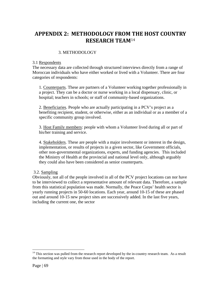## <span id="page-68-0"></span>**APPENDIX 2: METHODOLOGY FROM [T](#page-68-1)HE HOST COUNTRY RESEARCH TEAM**<sup>14</sup>

#### 3. METHODOLOGY

#### 3.1 Respondents

The necessary data are collected through structured interviews directly from a range of Moroccan individuals who have either worked or lived with a Volunteer. There are four categories of respondents:

1. Counterparts. These are partners of a Volunteer working together professionally in a project. They can be a doctor or nurse working in a local dispensary, clinic, or hospital; teachers in schools; or staff of community-based organizations.

2. Beneficiaries. People who are actually participating in a PCV's project as a benefiting recipient, student, or otherwise, either as an individual or as a member of a specific community group involved.

3. Host Family members: people with whom a Volunteer lived during all or part of his/her training and service.

4. Stakeholders. These are people with a major involvement or interest in the design, implementation, or results of projects in a given sector, like Government officials, other non-governmental organizations, experts, and funding agencies. This included the Ministry of Health at the provincial and national level only, although arguably they could also have been considered as senior counterparts.

#### 3.2. Sampling

Obviously, not all of the people involved in all of the PCV project locations can nor have to be interviewed to collect a representative amount of relevant data. Therefore, a sample from this statistical population was made. Normally, the Peace Corps' health sector is yearly running projects in 50-60 locations. Each year, around 10-15 of these are phased out and around 10-15 new project sites are successively added. In the last five years, including the current one, the sector

1

<span id="page-68-1"></span> $14$  This section was pulled from the research report developed by the in-country research team. As a result the formatting and style vary from those used in the body of the report.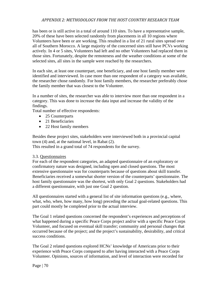#### *APPENDIX 2: METHODOLOGY FROM THE HOST COUNTRY RESEARCH TEAM*

has been or is still active in a total of around 110 sites. To have a representative sample, 20% of these have been selected randomly from placements in all 10 regions where Volunteers have been or are working. This resulted in a list of 21 rural sites spread over all of Southern Morocco. A large majority of the concerned sites still have PCVs working actively. In 4 or 5 sites, Volunteers had left and no other Volunteers had replaced them in those sites. Fortunately, despite the remoteness and the weather conditions at some of the selected sites, all sites in the sample were reached by the researchers.

In each site, at least one counterpart, one beneficiary, and one host family member were identified and interviewed. In case more than one respondent of a category was available, the researcher chose randomly. For host family members, the researcher preferably chose the family member that was closest to the Volunteer.

In a number of sites, the researcher was able to interview more than one respondent in a category. This was done to increase the data input and increase the validity of the findings.

Total number of effective respondents:

- 25 Counterparts
- 21 Beneficiaries
- 22 Host family members

Besides these project sites, stakeholders were interviewed both in a provincial capital town (4) and, at the national level, in Rabat (2). This resulted in a grand total of 74 respondents for the survey.

#### 3.3. Questionnaires

For each of the respondent categories, an adapted questionnaire of an exploratory or confirmatory nature was designed, including open and closed questions. The most extensive questionnaire was for counterparts because of questions about skill transfer. Beneficiaries received a somewhat shorter version of the counterparts' questionnaire. The host family questionnaire was the shortest, with only Goal 2 questions. Stakeholders had a different questionnaire, with just one Goal 2 question.

All questionnaires started with a general list of site information questions (e.g., where, what, who, when, how many, how long) preceding the actual goal-related questions. This part could mostly be completed prior to the actual interview.

The Goal 1 related questions concerned the respondent's experiences and perceptions of what happened during a specific Peace Corps project and/or with a specific Peace Corps Volunteer, and focused on eventual skill transfer; community and personal changes that occurred because of the project; and the project's sustainability, desirability, and critical success conditions.

The Goal 2 related questions explored HCNs' knowledge of Americans prior to their experience with Peace Corps compared to after having interacted with a Peace Corps Volunteer. Opinions, sources of information, and level of interaction were recorded for